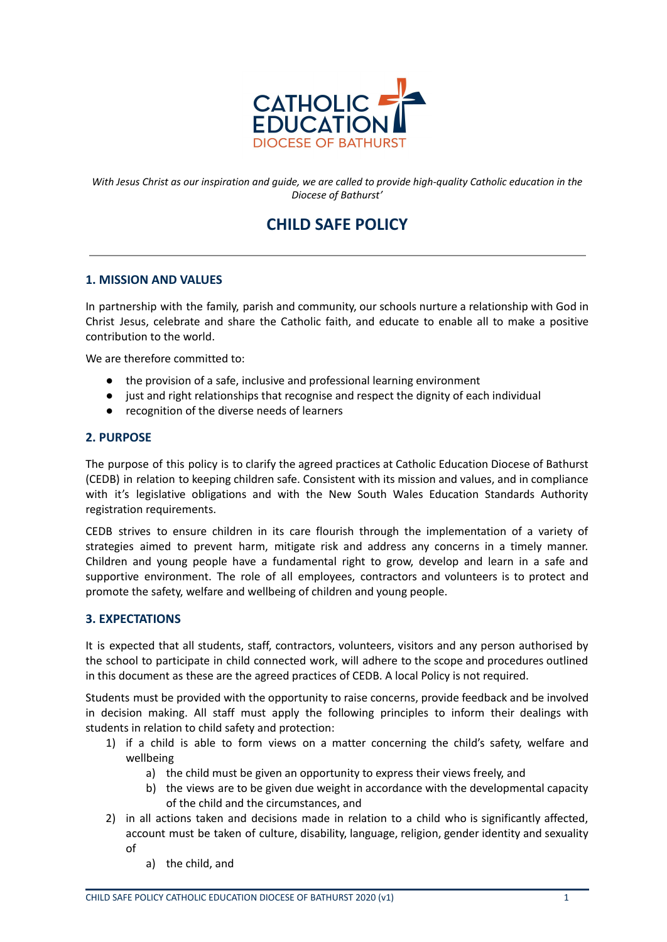

With Jesus Christ as our inspiration and quide, we are called to provide high-quality Catholic education in the *Diocese of Bathurst'*

# **CHILD SAFE POLICY**

#### **1. MISSION AND VALUES**

In partnership with the family, parish and community, our schools nurture a relationship with God in Christ Jesus, celebrate and share the Catholic faith, and educate to enable all to make a positive contribution to the world.

We are therefore committed to:

- the provision of a safe, inclusive and professional learning environment
- just and right relationships that recognise and respect the dignity of each individual
- recognition of the diverse needs of learners

#### **2. PURPOSE**

The purpose of this policy is to clarify the agreed practices at Catholic Education Diocese of Bathurst (CEDB) in relation to keeping children safe. Consistent with its mission and values, and in compliance with it's legislative obligations and with the New South Wales Education Standards Authority registration requirements.

CEDB strives to ensure children in its care flourish through the implementation of a variety of strategies aimed to prevent harm, mitigate risk and address any concerns in a timely manner. Children and young people have a fundamental right to grow, develop and learn in a safe and supportive environment. The role of all employees, contractors and volunteers is to protect and promote the safety, welfare and wellbeing of children and young people.

# **3. EXPECTATIONS**

It is expected that all students, staff, contractors, volunteers, visitors and any person authorised by the school to participate in child connected work, will adhere to the scope and procedures outlined in this document as these are the agreed practices of CEDB. A local Policy is not required.

Students must be provided with the opportunity to raise concerns, provide feedback and be involved in decision making. All staff must apply the following principles to inform their dealings with students in relation to child safety and protection:

- 1) if a child is able to form views on a matter concerning the child's safety, welfare and wellbeing
	- a) the child must be given an opportunity to express their views freely, and
	- b) the views are to be given due weight in accordance with the developmental capacity of the child and the circumstances, and
- 2) in all actions taken and decisions made in relation to a child who is significantly affected, account must be taken of culture, disability, language, religion, gender identity and sexuality of
	- a) the child, and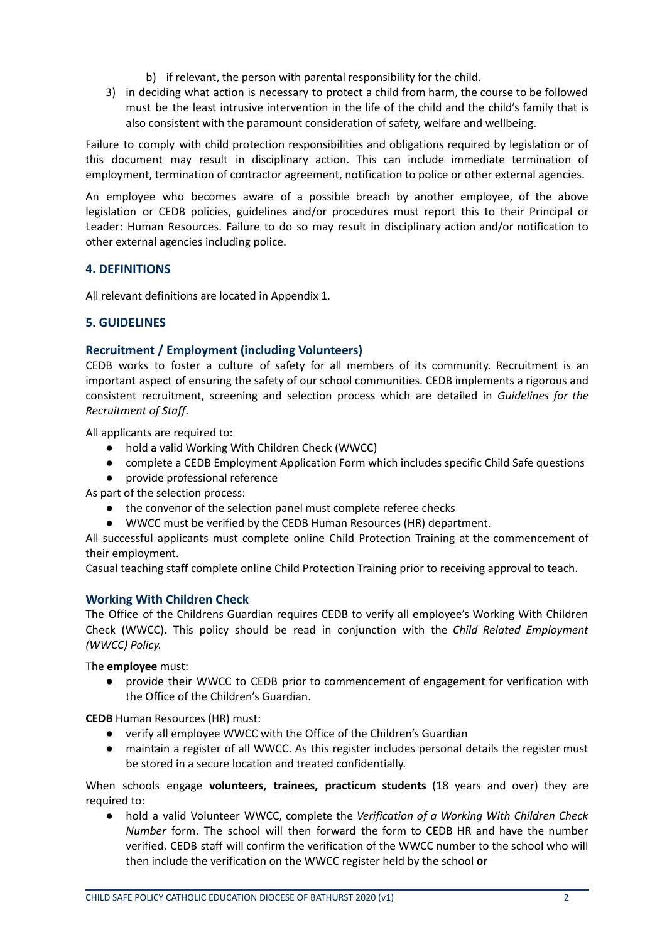- b) if relevant, the person with parental responsibility for the child.
- 3) in deciding what action is necessary to protect a child from harm, the course to be followed must be the least intrusive intervention in the life of the child and the child's family that is also consistent with the paramount consideration of safety, welfare and wellbeing.

Failure to comply with child protection responsibilities and obligations required by legislation or of this document may result in disciplinary action. This can include immediate termination of employment, termination of contractor agreement, notification to police or other external agencies.

An employee who becomes aware of a possible breach by another employee, of the above legislation or CEDB policies, guidelines and/or procedures must report this to their Principal or Leader: Human Resources. Failure to do so may result in disciplinary action and/or notification to other external agencies including police.

#### **4. DEFINITIONS**

All relevant definitions are located in Appendix 1.

#### **5. GUIDELINES**

#### **Recruitment / Employment (including Volunteers)**

CEDB works to foster a culture of safety for all members of its community. Recruitment is an important aspect of ensuring the safety of our school communities. CEDB implements a rigorous and consistent recruitment, screening and selection process which are detailed in *Guidelines for the Recruitment of Staff*.

All applicants are required to:

- hold a valid Working With Children Check (WWCC)
- complete a CEDB Employment Application Form which includes specific Child Safe questions
- provide professional reference

As part of the selection process:

- the convenor of the selection panel must complete referee checks
- WWCC must be verified by the CEDB Human Resources (HR) department.

All successful applicants must complete online Child Protection Training at the commencement of their employment.

Casual teaching staff complete online Child Protection Training prior to receiving approval to teach.

#### **Working With Children Check**

The Office of the Childrens Guardian requires CEDB to verify all employee's Working With Children Check (WWCC). This policy should be read in conjunction with the *Child Related Employment (WWCC) Policy.*

The **employee** must:

● provide their WWCC to CEDB prior to commencement of engagement for verification with the Office of the Children's Guardian.

**CEDB** Human Resources (HR) must:

- verify all employee WWCC with the Office of the Children's Guardian
- maintain a register of all WWCC. As this register includes personal details the register must be stored in a secure location and treated confidentially.

When schools engage **volunteers, trainees, practicum students** (18 years and over) they are required to:

● hold a valid Volunteer WWCC, complete the *Verification of a Working With Children Check Number* form. The school will then forward the form to CEDB HR and have the number verified. CEDB staff will confirm the verification of the WWCC number to the school who will then include the verification on the WWCC register held by the school **or**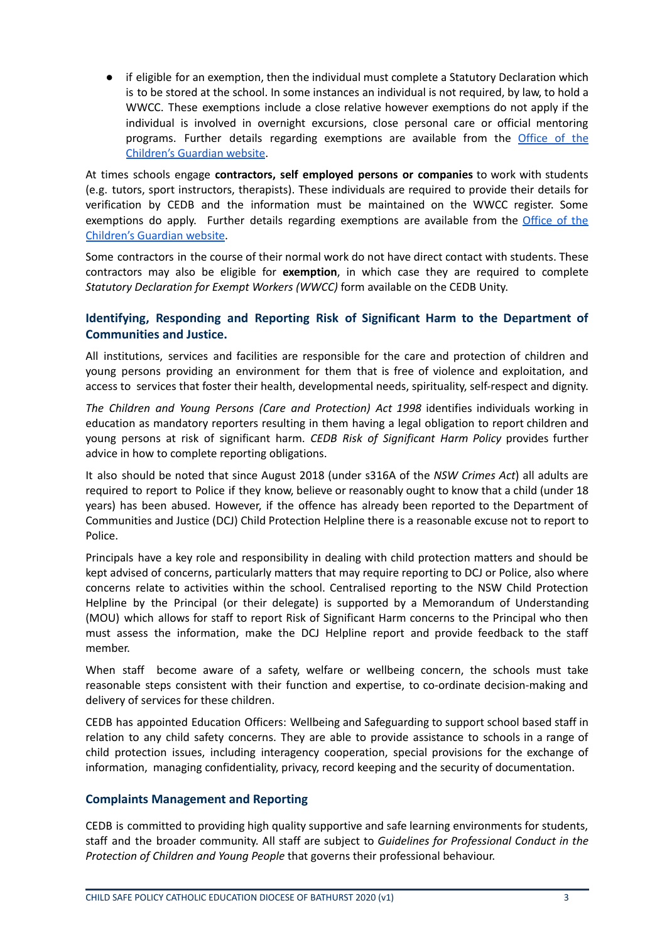if eligible for an exemption, then the individual must complete a Statutory Declaration which is to be stored at the school. In some instances an individual is not required, by law, to hold a WWCC. These exemptions include a close relative however exemptions do not apply if the individual is involved in overnight excursions, close personal care or official mentoring programs. Further details regarding exemptions are available from the [Office](https://www.kidsguardian.nsw.gov.au/child-safe-organisations/working-with-children-check/employer/who-needs-a-working-with-children-check) of the [Children's](https://www.kidsguardian.nsw.gov.au/child-safe-organisations/working-with-children-check/employer/who-needs-a-working-with-children-check) Guardian website.

At times schools engage **contractors, self employed persons or companies** to work with students (e.g. tutors, sport instructors, therapists). These individuals are required to provide their details for verification by CEDB and the information must be maintained on the WWCC register. Some exemptions do apply. Further details regarding exemptions are available from the [Office](https://www.kidsguardian.nsw.gov.au/child-safe-organisations/working-with-children-check/employer/who-needs-a-working-with-children-check) of the [Children's](https://www.kidsguardian.nsw.gov.au/child-safe-organisations/working-with-children-check/employer/who-needs-a-working-with-children-check) Guardian website.

Some contractors in the course of their normal work do not have direct contact with students. These contractors may also be eligible for **exemption**, in which case they are required to complete *Statutory Declaration for Exempt Workers (WWCC)* form available on the CEDB Unity.

# **Identifying, Responding and Reporting Risk of Significant Harm to the Department of Communities and Justice.**

All institutions, services and facilities are responsible for the care and protection of children and young persons providing an environment for them that is free of violence and exploitation, and access to services that foster their health, developmental needs, spirituality, self-respect and dignity.

*The Children and Young Persons (Care and Protection) Act 1998* identifies individuals working in education as mandatory reporters resulting in them having a legal obligation to report children and young persons at risk of significant harm. *CEDB Risk of Significant Harm Policy* provides further advice in how to complete reporting obligations.

It also should be noted that since August 2018 (under s316A of the *NSW Crimes Act*) all adults are required to report to Police if they know, believe or reasonably ought to know that a child (under 18 years) has been abused. However, if the offence has already been reported to the Department of Communities and Justice (DCJ) Child Protection Helpline there is a reasonable excuse not to report to Police.

Principals have a key role and responsibility in dealing with child protection matters and should be kept advised of concerns, particularly matters that may require reporting to DCJ or Police, also where concerns relate to activities within the school. Centralised reporting to the NSW Child Protection Helpline by the Principal (or their delegate) is supported by a Memorandum of Understanding (MOU) which allows for staff to report Risk of Significant Harm concerns to the Principal who then must assess the information, make the DCJ Helpline report and provide feedback to the staff member.

When staff become aware of a safety, welfare or wellbeing concern, the schools must take reasonable steps consistent with their function and expertise, to co-ordinate decision-making and delivery of services for these children.

CEDB has appointed Education Officers: Wellbeing and Safeguarding to support school based staff in relation to any child safety concerns. They are able to provide assistance to schools in a range of child protection issues, including interagency cooperation, special provisions for the exchange of information, managing confidentiality, privacy, record keeping and the security of documentation.

# **Complaints Management and Reporting**

CEDB is committed to providing high quality supportive and safe learning environments for students, staff and the broader community. All staff are subject to *Guidelines for [Professional](http://www.bth.catholic.edu.au/ContentUploads/files/Professional_Conduct_in_the_Protection_of_Children__Young_People.pdf) Conduct in the [Protection](http://www.bth.catholic.edu.au/ContentUploads/files/Professional_Conduct_in_the_Protection_of_Children__Young_People.pdf) of Children and Young People* that governs their professional behaviour.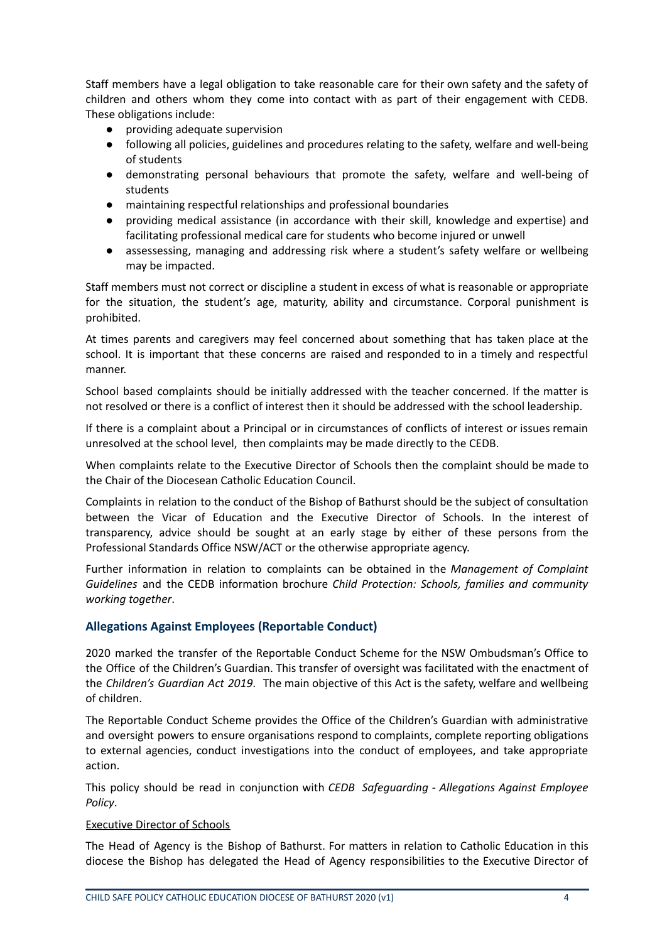Staff members have a legal obligation to take reasonable care for their own safety and the safety of children and others whom they come into contact with as part of their engagement with CEDB. These obligations include:

- providing adequate supervision
- following all policies, guidelines and procedures relating to the safety, welfare and well-being of students
- demonstrating personal behaviours that promote the safety, welfare and well-being of students
- maintaining respectful relationships and professional boundaries
- providing medical assistance (in accordance with their skill, knowledge and expertise) and facilitating professional medical care for students who become injured or unwell
- assessessing, managing and addressing risk where a student's safety welfare or wellbeing may be impacted.

Staff members must not correct or discipline a student in excess of what is reasonable or appropriate for the situation, the student's age, maturity, ability and circumstance. Corporal punishment is prohibited.

At times parents and caregivers may feel concerned about something that has taken place at the school. It is important that these concerns are raised and responded to in a timely and respectful manner.

School based complaints should be initially addressed with the teacher concerned. If the matter is not resolved or there is a conflict of interest then it should be addressed with the school leadership.

If there is a complaint about a Principal or in circumstances of conflicts of interest or issues remain unresolved at the school level, then complaints may be made directly to the CEDB.

When complaints relate to the Executive Director of Schools then the complaint should be made to the Chair of the Diocesean Catholic Education Council.

Complaints in relation to the conduct of the Bishop of Bathurst should be the subject of consultation between the Vicar of Education and the Executive Director of Schools. In the interest of transparency, advice should be sought at an early stage by either of these persons from the Professional Standards Office NSW/ACT or the otherwise appropriate agency.

Further information in relation to complaints can be obtained in the *Management of Complaint Guidelines* and the CEDB information brochure *Child Protection: Schools, families and community working together*.

# **Allegations Against Employees (Reportable Conduct)**

2020 marked the transfer of the Reportable Conduct Scheme for the NSW Ombudsman's Office to the Office of the Children's Guardian. This transfer of oversight was facilitated with the enactment of the *Children's Guardian Act 2019*. The main objective of this Act is the safety, welfare and wellbeing of children.

The Reportable Conduct Scheme provides the Office of the Children's Guardian with administrative and oversight powers to ensure organisations respond to complaints, complete reporting obligations to external agencies, conduct investigations into the conduct of employees, and take appropriate action.

This policy should be read in conjunction with *CEDB Safeguarding - Allegations Against Employee Policy*.

#### Executive Director of Schools

The Head of Agency is the Bishop of Bathurst. For matters in relation to Catholic Education in this diocese the Bishop has delegated the Head of Agency responsibilities to the Executive Director of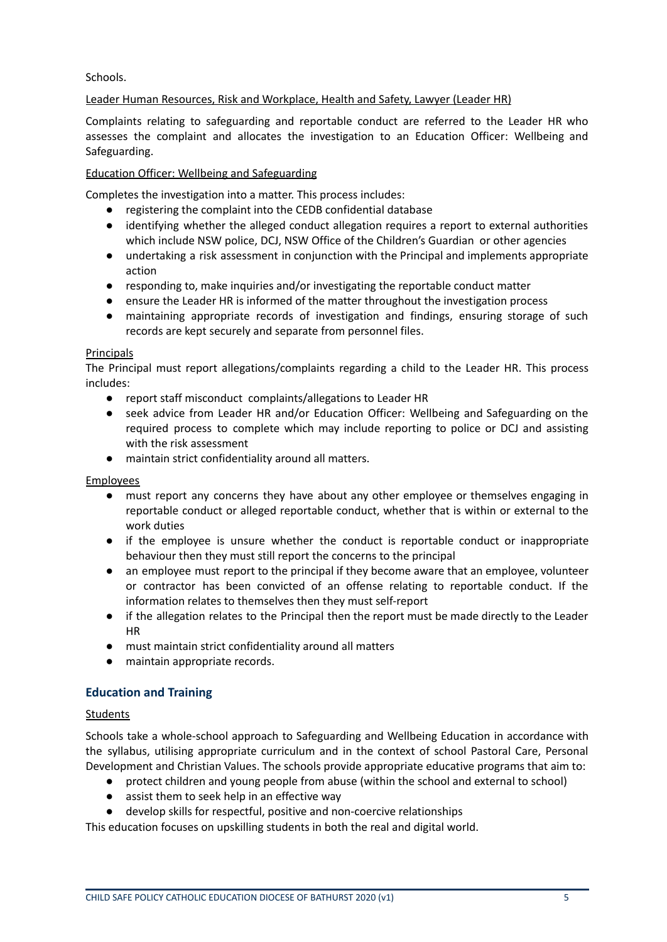Schools.

# Leader Human Resources, Risk and Workplace, Health and Safety, Lawyer (Leader HR)

Complaints relating to safeguarding and reportable conduct are referred to the Leader HR who assesses the complaint and allocates the investigation to an Education Officer: Wellbeing and Safeguarding.

#### Education Officer: Wellbeing and Safeguarding

Completes the investigation into a matter. This process includes:

- registering the complaint into the CEDB confidential database
- identifying whether the alleged conduct allegation requires a report to external authorities which include NSW police, DCJ, NSW Office of the Children's Guardian or other agencies
- undertaking a risk assessment in conjunction with the Principal and implements appropriate action
- responding to, make inquiries and/or investigating the reportable conduct matter
- ensure the Leader HR is informed of the matter throughout the investigation process
- maintaining appropriate records of investigation and findings, ensuring storage of such records are kept securely and separate from personnel files.

#### **Principals**

The Principal must report allegations/complaints regarding a child to the Leader HR. This process includes:

- report staff misconduct complaints/allegations to Leader HR
- seek advice from Leader HR and/or Education Officer: Wellbeing and Safeguarding on the required process to complete which may include reporting to police or DCJ and assisting with the risk assessment
- maintain strict confidentiality around all matters.

# Employees

- must report any concerns they have about any other employee or themselves engaging in reportable conduct or alleged reportable conduct, whether that is within or external to the work duties
- if the employee is unsure whether the conduct is reportable conduct or inappropriate behaviour then they must still report the concerns to the principal
- an employee must report to the principal if they become aware that an employee, volunteer or contractor has been convicted of an offense relating to reportable conduct. If the information relates to themselves then they must self-report
- if the allegation relates to the Principal then the report must be made directly to the Leader HR
- must maintain strict confidentiality around all matters
- maintain appropriate records.

# **Education and Training**

# Students

Schools take a whole-school approach to Safeguarding and Wellbeing Education in accordance with the syllabus, utilising appropriate curriculum and in the context of school Pastoral Care, Personal Development and Christian Values. The schools provide appropriate educative programs that aim to:

- protect children and young people from abuse (within the school and external to school)
- assist them to seek help in an effective way
- develop skills for respectful, positive and non-coercive relationships

This education focuses on upskilling students in both the real and digital world.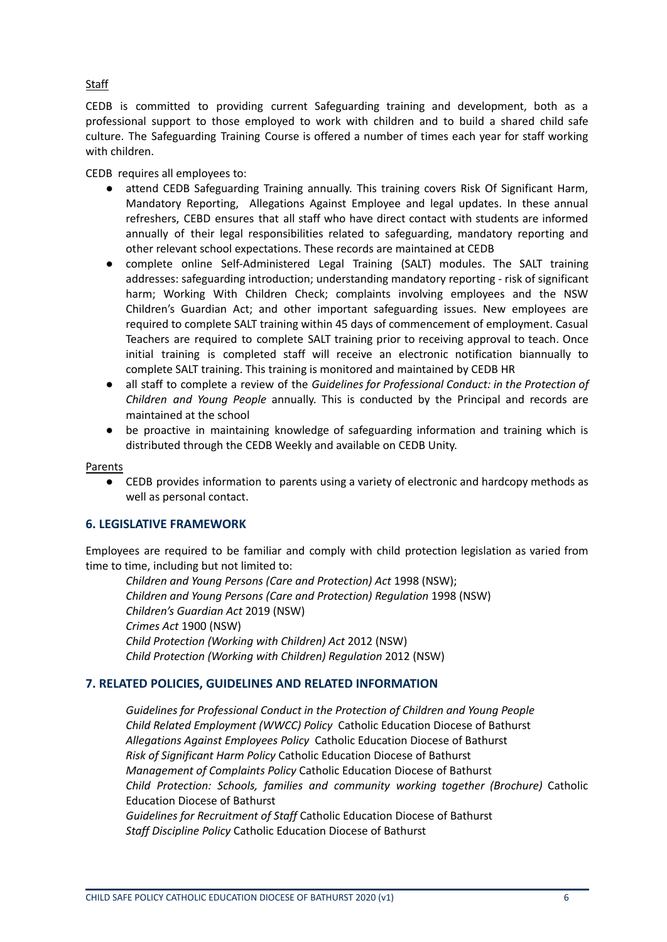# **Staff**

CEDB is committed to providing current Safeguarding training and development, both as a professional support to those employed to work with children and to build a shared child safe culture. The Safeguarding Training Course is offered a number of times each year for staff working with children.

CEDB requires all employees to:

- attend CEDB Safeguarding Training annually. This training covers Risk Of Significant Harm, Mandatory Reporting, Allegations Against Employee and legal updates. In these annual refreshers, CEBD ensures that all staff who have direct contact with students are informed annually of their legal responsibilities related to safeguarding, mandatory reporting and other relevant school expectations. These records are maintained at CEDB
- complete online Self-Administered Legal Training (SALT) modules. The SALT training addresses: safeguarding introduction; understanding mandatory reporting - risk of significant harm; Working With Children Check; complaints involving employees and the NSW Children's Guardian Act; and other important safeguarding issues. New employees are required to complete SALT training within 45 days of commencement of employment. Casual Teachers are required to complete SALT training prior to receiving approval to teach. Once initial training is completed staff will receive an electronic notification biannually to complete SALT training. This training is monitored and maintained by CEDB HR
- all staff to complete a review of the *Guidelines for Professional Conduct: in the Protection of Children and Young People* annually. This is conducted by the Principal and records are maintained at the school
- be proactive in maintaining knowledge of safeguarding information and training which is distributed through the CEDB Weekly and available on CEDB Unity.

#### Parents

● CEDB provides information to parents using a variety of electronic and hardcopy methods as well as personal contact.

#### **6. LEGISLATIVE FRAMEWORK**

Employees are required to be familiar and comply with child protection legislation as varied from time to time, including but not limited to:

*Children and Young Persons (Care and Protection) Act* 1998 (NSW); *Children and Young Persons (Care and Protection) Regulation* 1998 (NSW) *Children's Guardian Act* 2019 (NSW) *Crimes Act* 1900 (NSW) *Child Protection (Working with Children) Act* 2012 (NSW) *Child Protection (Working with Children) Regulation* 2012 (NSW)

#### **7. RELATED POLICIES, GUIDELINES AND RELATED INFORMATION**

*Guidelines for [Professional](http://www.bth.catholic.edu.au/ContentUploads/files/Professional_Conduct_in_the_Protection_of_Children__Young_People.pdf) Conduct in the Protection of Children and Young People Child Related Employment (WWCC) Policy* Catholic Education Diocese of Bathurst *Allegations Against Employees Policy* Catholic Education Diocese of Bathurst *Risk of Significant Harm Policy* Catholic Education Diocese of Bathurst *Management of Complaints Policy* Catholic Education Diocese of Bathurst *Child Protection: Schools, families and community working together (Brochure)* Catholic Education Diocese of Bathurst *Guidelines for Recruitment of Staff* Catholic Education Diocese of Bathurst

*Staff Discipline Policy* Catholic Education Diocese of Bathurst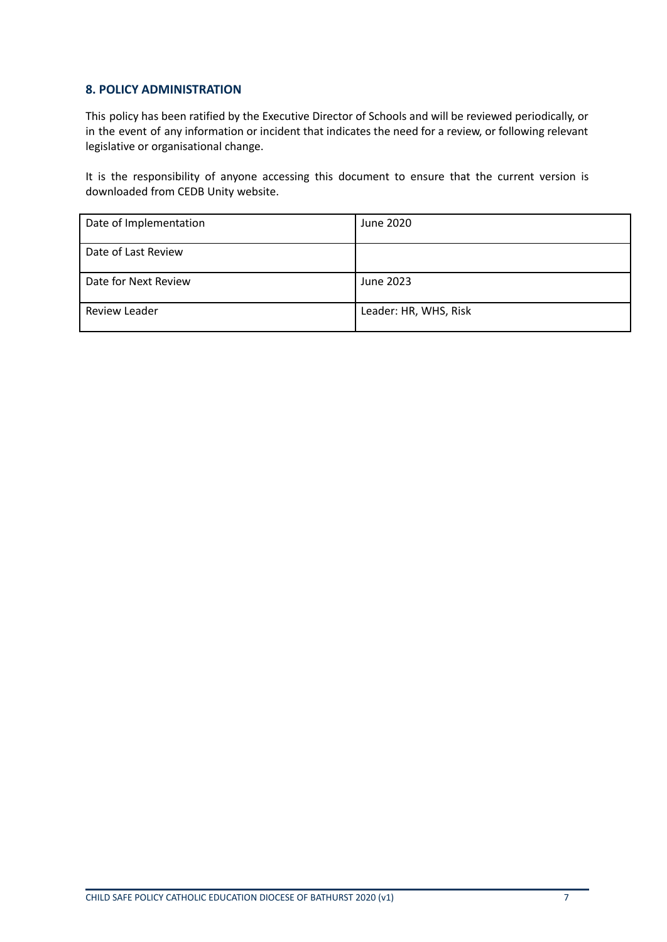# **8. POLICY ADMINISTRATION**

This policy has been ratified by the Executive Director of Schools and will be reviewed periodically, or in the event of any information or incident that indicates the need for a review, or following relevant legislative or organisational change.

It is the responsibility of anyone accessing this document to ensure that the current version is downloaded from CEDB Unity website.

| Date of Implementation | June 2020             |
|------------------------|-----------------------|
| Date of Last Review    |                       |
| Date for Next Review   | June 2023             |
| Review Leader          | Leader: HR, WHS, Risk |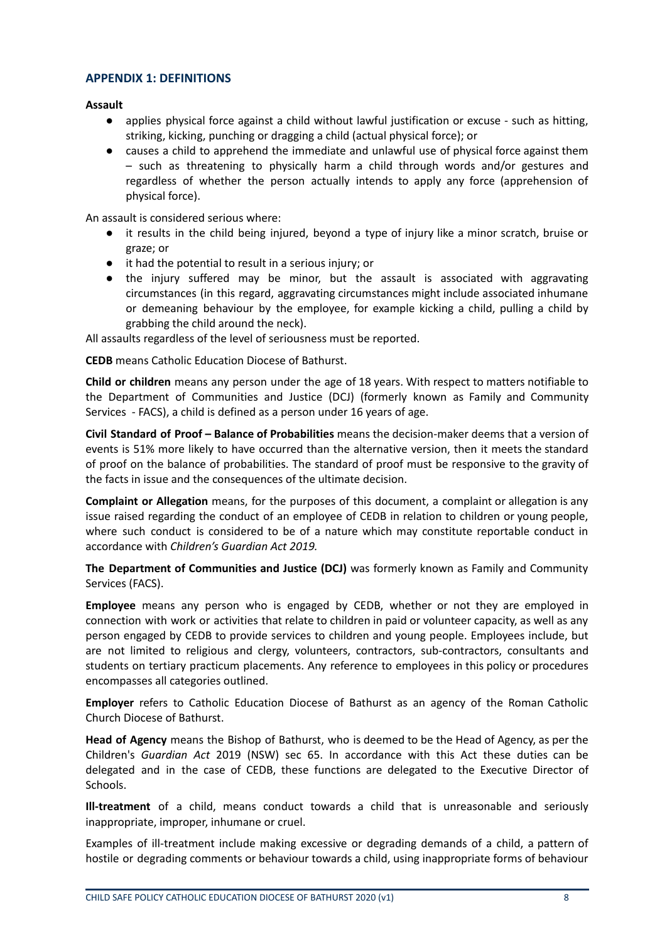#### **APPENDIX 1: DEFINITIONS**

**Assault**

- applies physical force against a child without lawful justification or excuse such as hitting, striking, kicking, punching or dragging a child (actual physical force); or
- causes a child to apprehend the immediate and unlawful use of physical force against them – such as threatening to physically harm a child through words and/or gestures and regardless of whether the person actually intends to apply any force (apprehension of physical force).

An assault is considered serious where:

- it results in the child being injured, beyond a type of injury like a minor scratch, bruise or graze; or
- it had the potential to result in a serious injury; or
- the injury suffered may be minor, but the assault is associated with aggravating circumstances (in this regard, aggravating circumstances might include associated inhumane or demeaning behaviour by the employee, for example kicking a child, pulling a child by grabbing the child around the neck).

All assaults regardless of the level of seriousness must be reported.

**CEDB** means Catholic Education Diocese of Bathurst.

**Child or children** means any person under the age of 18 years. With respect to matters notifiable to the Department of Communities and Justice (DCJ) (formerly known as Family and Community Services - FACS), a child is defined as a person under 16 years of age.

**Civil Standard of Proof – Balance of Probabilities** means the decision-maker deems that a version of events is 51% more likely to have occurred than the alternative version, then it meets the standard of proof on the balance of probabilities. The standard of proof must be responsive to the gravity of the facts in issue and the consequences of the ultimate decision.

**Complaint or Allegation** means, for the purposes of this document, a complaint or allegation is any issue raised regarding the conduct of an employee of CEDB in relation to children or young people, where such conduct is considered to be of a nature which may constitute reportable conduct in accordance with *Children's Guardian Act 2019.*

**The Department of Communities and Justice (DCJ)** was formerly known as Family and Community Services (FACS).

**Employee** means any person who is engaged by CEDB, whether or not they are employed in connection with work or activities that relate to children in paid or volunteer capacity, as well as any person engaged by CEDB to provide services to children and young people. Employees include, but are not limited to religious and clergy, volunteers, contractors, sub-contractors, consultants and students on tertiary practicum placements. Any reference to employees in this policy or procedures encompasses all categories outlined.

**Employer** refers to Catholic Education Diocese of Bathurst as an agency of the Roman Catholic Church Diocese of Bathurst.

**Head of Agency** means the Bishop of Bathurst, who is deemed to be the Head of Agency, as per the Children's *Guardian Act* 2019 (NSW) sec 65. In accordance with this Act these duties can be delegated and in the case of CEDB, these functions are delegated to the Executive Director of Schools.

**Ill-treatment** of a child, means conduct towards a child that is unreasonable and seriously inappropriate, improper, inhumane or cruel.

Examples of ill-treatment include making excessive or degrading demands of a child, a pattern of hostile or degrading comments or behaviour towards a child, using inappropriate forms of behaviour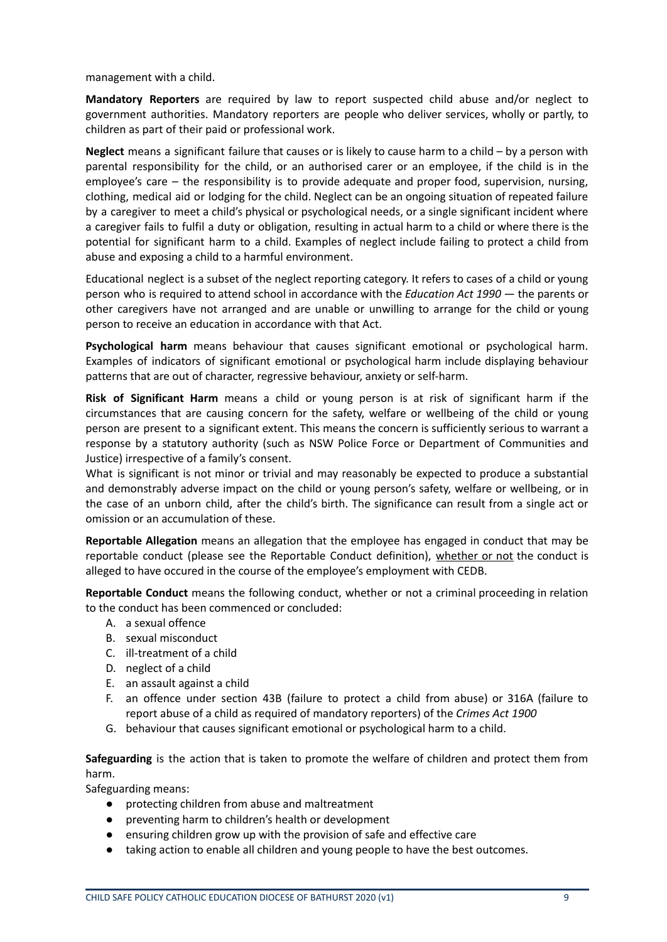management with a child.

**Mandatory Reporters** are required by law to report suspected child abuse and/or neglect to government authorities. Mandatory reporters are people who deliver services, wholly or partly, to children as part of their paid or professional work.

**Neglect** means a significant failure that causes or is likely to cause harm to a child – by a person with parental responsibility for the child, or an authorised carer or an employee, if the child is in the employee's care – the responsibility is to provide adequate and proper food, supervision, nursing, clothing, medical aid or lodging for the child. Neglect can be an ongoing situation of repeated failure by a caregiver to meet a child's physical or psychological needs, or a single significant incident where a caregiver fails to fulfil a duty or obligation, resulting in actual harm to a child or where there is the potential for significant harm to a child. Examples of neglect include failing to protect a child from abuse and exposing a child to a harmful environment.

Educational neglect is a subset of the neglect reporting category. It refers to cases of a child or young person who is required to attend school in accordance with the *[Education](https://www.legislation.nsw.gov.au/#/view/act/1990/8) Act 1990* — the parents or other caregivers have not arranged and are unable or unwilling to arrange for the child or young person to receive an education in accordance with that Act.

**Psychological harm** means behaviour that causes significant emotional or psychological harm. Examples of indicators of significant emotional or psychological harm include displaying behaviour patterns that are out of character, regressive behaviour, anxiety or self-harm.

**Risk of Significant Harm** means a child or young person is at risk of significant harm if the circumstances that are causing concern for the safety, welfare or wellbeing of the child or young person are present to a significant extent. This means the concern is sufficiently serious to warrant a response by a statutory authority (such as NSW Police Force or Department of Communities and Justice) irrespective of a family's consent.

What is significant is not minor or trivial and may reasonably be expected to produce a substantial and demonstrably adverse impact on the child or young person's safety, welfare or wellbeing, or in the case of an unborn child, after the child's birth. The significance can result from a single act or omission or an accumulation of these.

**Reportable Allegation** means an allegation that the employee has engaged in conduct that may be reportable conduct (please see the Reportable Conduct definition), whether or not the conduct is alleged to have occured in the course of the employee's employment with CEDB.

**Reportable Conduct** means the following conduct, whether or not a criminal proceeding in relation to the conduct has been commenced or concluded:

- A. a sexual offence
- B. sexual misconduct
- C. ill-treatment of a child
- D. neglect of a child
- E. an assault against a child
- F. an offence under section 43B (failure to protect a child from abuse) or 316A (failure to report abuse of a child as required of mandatory reporters) of the *[Crimes](https://legislation.nsw.gov.au/#/view/act/1900/40) Act 1900*
- G. behaviour that causes significant emotional or psychological harm to a child.

**Safeguarding** is the action that is taken to promote the welfare of children and protect them from harm.

Safeguarding means:

- protecting children from abuse and maltreatment
- preventing harm to children's health or development
- ensuring children grow up with the provision of safe and effective care
- **●** taking action to enable all children and young people to have the best outcomes.